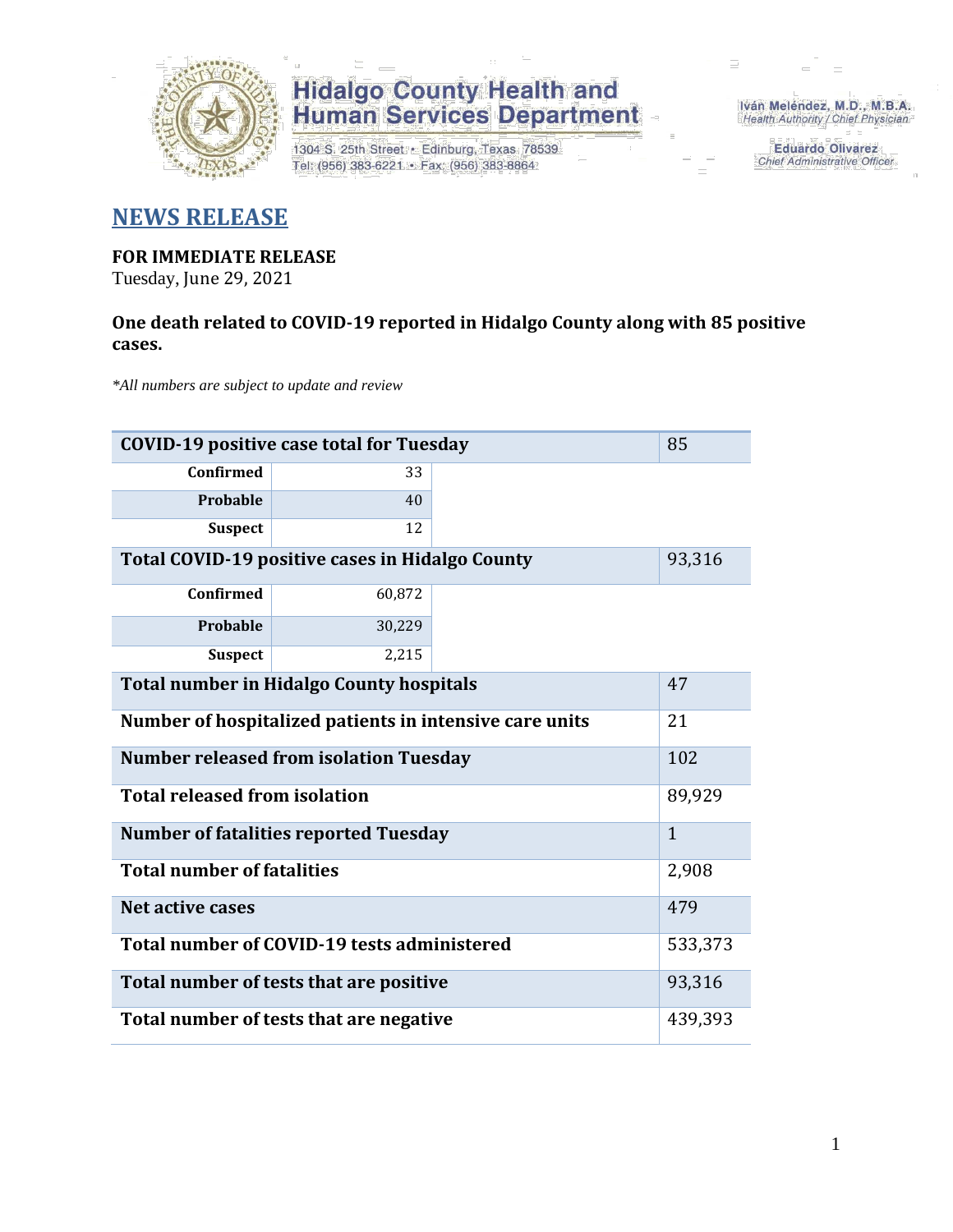

## **Hidalgo County Health and<br>Human Services Department**

1304 S. 25th Street · Edinburg, Texas 78539 Tel: (956) 383-6221 · Fax: (956) 383-8864

Iván Meléndez, M.D., M.B.A. Health Authority / Chief Physician

> **Eduardo Olivarez** Chief Administrative Officer

### **NEWS RELEASE**

### **FOR IMMEDIATE RELEASE**

Tuesday, June 29, 2021

### **One death related to COVID-19 reported in Hidalgo County along with 85 positive cases.**

*\*All numbers are subject to update and review*

| 85<br><b>COVID-19 positive case total for Tuesday</b>   |              |  |  |  |  |
|---------------------------------------------------------|--------------|--|--|--|--|
| Confirmed                                               | 33           |  |  |  |  |
| Probable                                                | 40           |  |  |  |  |
| <b>Suspect</b>                                          | 12           |  |  |  |  |
| Total COVID-19 positive cases in Hidalgo County         | 93,316       |  |  |  |  |
| <b>Confirmed</b>                                        | 60,872       |  |  |  |  |
| Probable                                                | 30,229       |  |  |  |  |
| <b>Suspect</b>                                          | 2,215        |  |  |  |  |
| <b>Total number in Hidalgo County hospitals</b>         | 47           |  |  |  |  |
| Number of hospitalized patients in intensive care units | 21           |  |  |  |  |
| <b>Number released from isolation Tuesday</b><br>102    |              |  |  |  |  |
| <b>Total released from isolation</b>                    | 89,929       |  |  |  |  |
| <b>Number of fatalities reported Tuesday</b>            | $\mathbf{1}$ |  |  |  |  |
| <b>Total number of fatalities</b>                       | 2,908        |  |  |  |  |
| <b>Net active cases</b>                                 | 479          |  |  |  |  |
| Total number of COVID-19 tests administered             | 533,373      |  |  |  |  |
| Total number of tests that are positive                 | 93,316       |  |  |  |  |
| Total number of tests that are negative                 | 439,393      |  |  |  |  |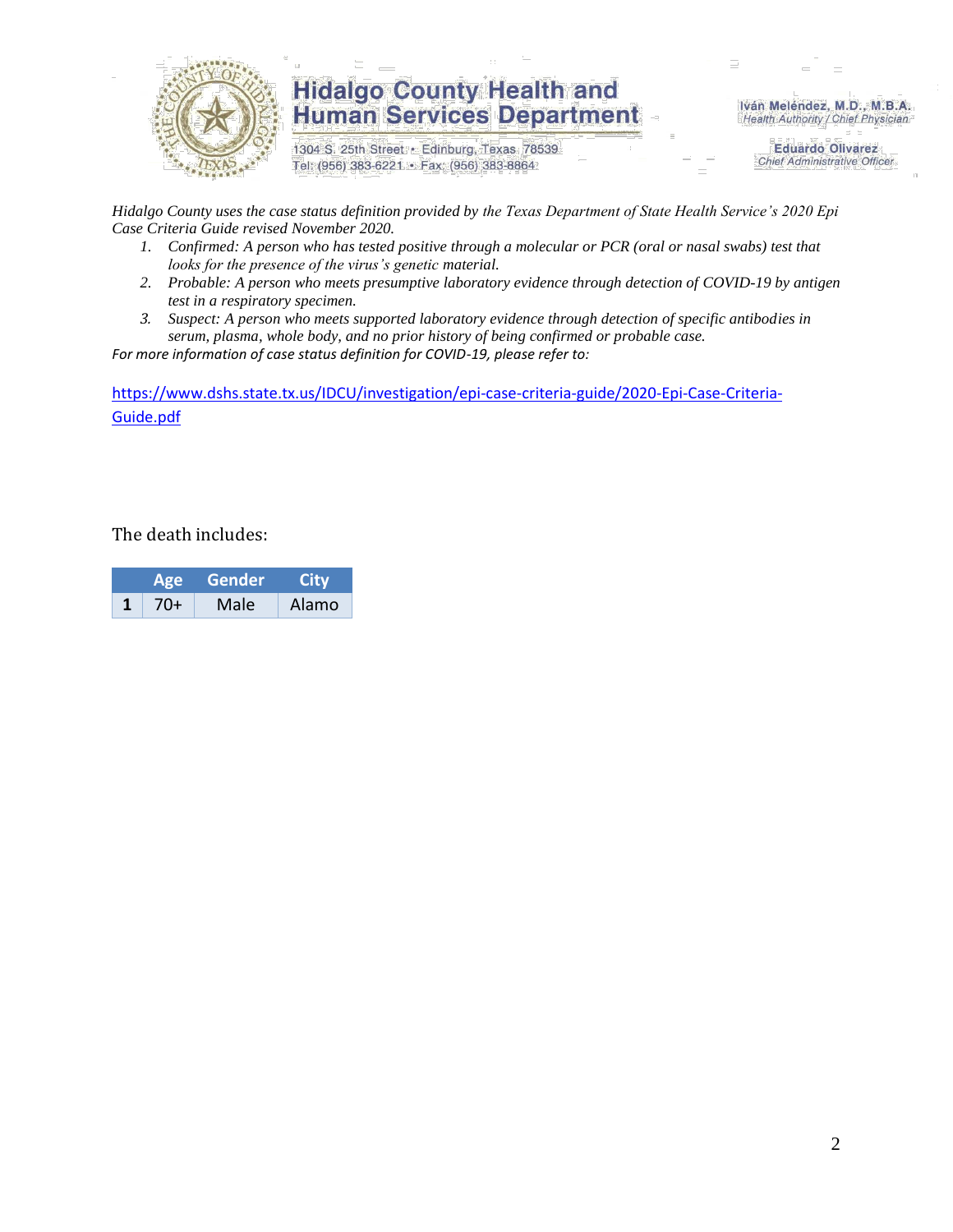

## **Hidalgo County Health and Human Services Department**

1304 S. 25th Street · Edinburg, Texas 78539 Tel: (956) 383-6221 · Fax: (956) 383-8864

Iván Meléndez, M.D., M.B.A. Health Authority / Chief Physician

> **Eduardo Olivarez Chief Administrative Officer**

*Hidalgo County uses the case status definition provided by the Texas Department of State Health Service's 2020 Epi Case Criteria Guide revised November 2020.*

- *1. Confirmed: A person who has tested positive through a molecular or PCR (oral or nasal swabs) test that looks for the presence of the virus's genetic material.*
- *2. Probable: A person who meets presumptive laboratory evidence through detection of COVID-19 by antigen test in a respiratory specimen.*
- *3. Suspect: A person who meets supported laboratory evidence through detection of specific antibodies in serum, plasma, whole body, and no prior history of being confirmed or probable case.*

*For more information of case status definition for COVID-19, please refer to:*

[https://www.dshs.state.tx.us/IDCU/investigation/epi-case-criteria-guide/2020-Epi-Case-Criteria-](https://www.dshs.state.tx.us/IDCU/investigation/epi-case-criteria-guide/2020-Epi-Case-Criteria-Guide.pdf)[Guide.pdf](https://www.dshs.state.tx.us/IDCU/investigation/epi-case-criteria-guide/2020-Epi-Case-Criteria-Guide.pdf)

The death includes:

| Age |       | Gender | City  |  |  |
|-----|-------|--------|-------|--|--|
|     | $70+$ | Male   | Alamo |  |  |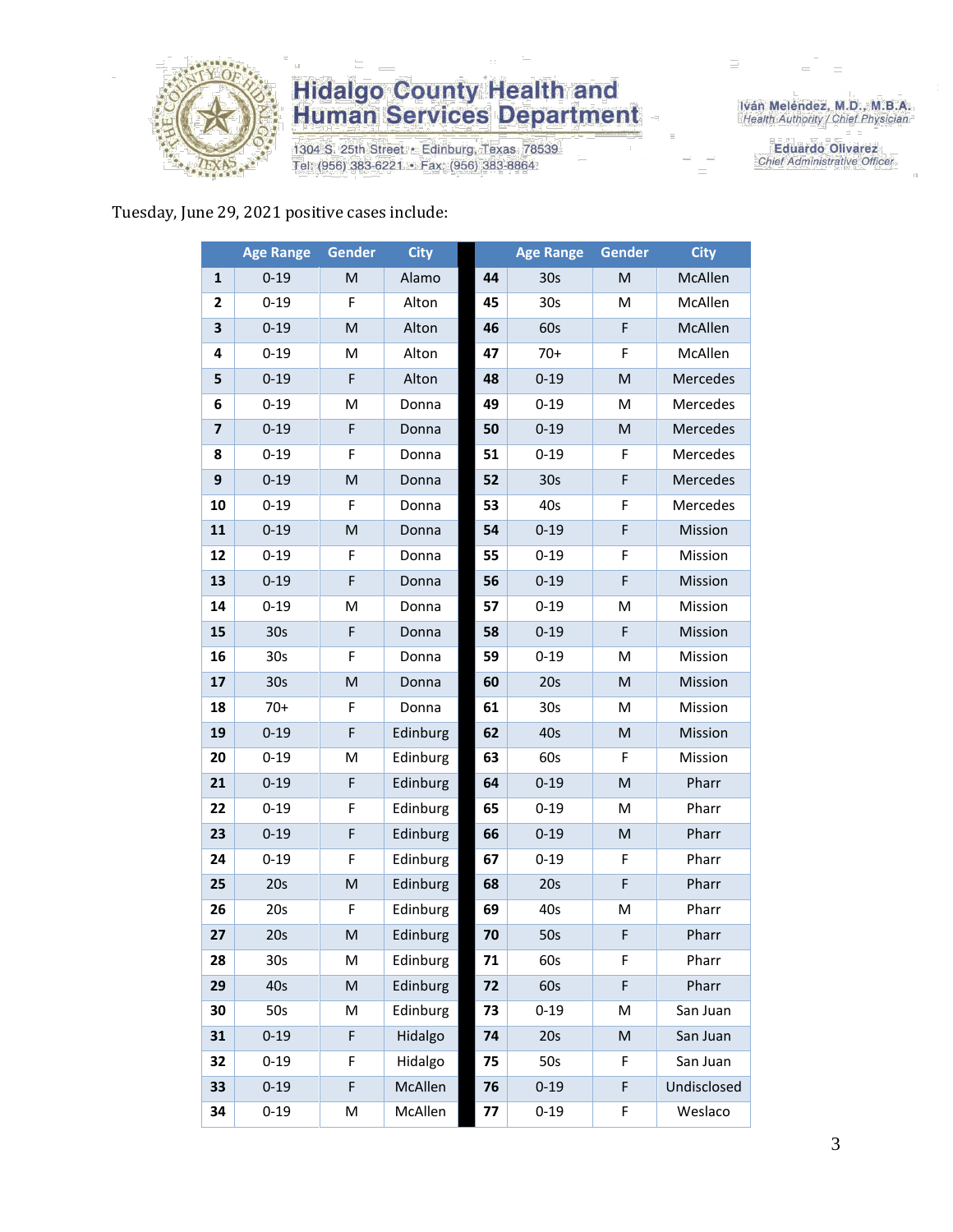

## **Hidalgo County Health and<br>Human Services Department**

1304 S. 25th Street · Edinburg, Texas 78539 Tel: (956) 383-6221 · Fax: (956) 383-8864

Iván Meléndez, M.D., M.B.A.<br>Health Authority / Chief Physician

**Eduardo Olivarez** Chief Administrative Officer

#### Tuesday, June 29, 2021 positive cases include:

|                         | <b>Age Range</b> | Gender                                                                                                     | <b>City</b> |    | <b>Age Range</b> | Gender                                                                                                     | <b>City</b> |
|-------------------------|------------------|------------------------------------------------------------------------------------------------------------|-------------|----|------------------|------------------------------------------------------------------------------------------------------------|-------------|
| $\mathbf{1}$            | $0 - 19$         | M                                                                                                          | Alamo       | 44 | 30 <sub>s</sub>  | M                                                                                                          | McAllen     |
| 2                       | $0 - 19$         | F                                                                                                          | Alton       | 45 | 30 <sub>s</sub>  | M                                                                                                          | McAllen     |
| 3                       | $0 - 19$         | $\mathsf{M}% _{T}=\mathsf{M}_{T}\!\left( a,b\right) ,\ \mathsf{M}_{T}=\mathsf{M}_{T}\!\left( a,b\right) ,$ | Alton       | 46 | 60s              | F                                                                                                          | McAllen     |
| 4                       | $0 - 19$         | M                                                                                                          | Alton       | 47 | $70+$            | F                                                                                                          | McAllen     |
| 5                       | $0 - 19$         | F                                                                                                          | Alton       | 48 | $0 - 19$         | M                                                                                                          | Mercedes    |
| 6                       | $0 - 19$         | M                                                                                                          | Donna       | 49 | $0 - 19$         | M                                                                                                          | Mercedes    |
| $\overline{\mathbf{z}}$ | $0 - 19$         | F                                                                                                          | Donna       | 50 | $0 - 19$         | M                                                                                                          | Mercedes    |
| 8                       | $0 - 19$         | F                                                                                                          | Donna       | 51 | $0 - 19$         | F                                                                                                          | Mercedes    |
| 9                       | $0 - 19$         | M                                                                                                          | Donna       | 52 | 30 <sub>s</sub>  | F                                                                                                          | Mercedes    |
| 10                      | $0 - 19$         | F                                                                                                          | Donna       | 53 | 40s              | F                                                                                                          | Mercedes    |
| 11                      | $0 - 19$         | M                                                                                                          | Donna       | 54 | $0 - 19$         | $\mathsf F$                                                                                                | Mission     |
| 12                      | $0 - 19$         | F                                                                                                          | Donna       | 55 | $0 - 19$         | F                                                                                                          | Mission     |
| 13                      | $0 - 19$         | F                                                                                                          | Donna       | 56 | $0 - 19$         | F                                                                                                          | Mission     |
| 14                      | $0 - 19$         | M                                                                                                          | Donna       | 57 | $0 - 19$         | M                                                                                                          | Mission     |
| 15                      | 30s              | F                                                                                                          | Donna       | 58 | $0 - 19$         | $\mathsf F$                                                                                                | Mission     |
| 16                      | 30s              | F                                                                                                          | Donna       | 59 | $0 - 19$         | M                                                                                                          | Mission     |
| 17                      | 30s              | M                                                                                                          | Donna       | 60 | 20s              | M                                                                                                          | Mission     |
| 18                      | $70+$            | F                                                                                                          | Donna       | 61 | 30 <sub>s</sub>  | M                                                                                                          | Mission     |
| 19                      | $0 - 19$         | F                                                                                                          | Edinburg    | 62 | 40s              | $\mathsf{M}% _{T}=\mathsf{M}_{T}\!\left( a,b\right) ,\ \mathsf{M}_{T}=\mathsf{M}_{T}\!\left( a,b\right) ,$ | Mission     |
| 20                      | $0 - 19$         | M                                                                                                          | Edinburg    | 63 | 60s              | $\mathsf F$                                                                                                | Mission     |
| 21                      | $0 - 19$         | F                                                                                                          | Edinburg    | 64 | $0 - 19$         | $\mathsf{M}% _{T}=\mathsf{M}_{T}\!\left( a,b\right) ,\ \mathsf{M}_{T}=\mathsf{M}_{T}\!\left( a,b\right) ,$ | Pharr       |
| 22                      | $0 - 19$         | F                                                                                                          | Edinburg    | 65 | $0 - 19$         | M                                                                                                          | Pharr       |
| 23                      | $0 - 19$         | F                                                                                                          | Edinburg    | 66 | $0 - 19$         | M                                                                                                          | Pharr       |
| 24                      | $0 - 19$         | F                                                                                                          | Edinburg    | 67 | $0 - 19$         | F                                                                                                          | Pharr       |
| 25                      | 20s              | ${\sf M}$                                                                                                  | Edinburg    | 68 | 20s              | F                                                                                                          | Pharr       |
| 26                      | 20s              | F                                                                                                          | Edinburg    | 69 | 40s              | M                                                                                                          | Pharr       |
| 27                      | 20s              | M                                                                                                          | Edinburg    | 70 | 50s              | F                                                                                                          | Pharr       |
| 28                      | 30s              | М                                                                                                          | Edinburg    | 71 | 60s              | F                                                                                                          | Pharr       |
| 29                      | 40s              | ${\sf M}$                                                                                                  | Edinburg    | 72 | 60s              | F                                                                                                          | Pharr       |
| 30                      | 50s              | M                                                                                                          | Edinburg    | 73 | $0 - 19$         | M                                                                                                          | San Juan    |
| 31                      | $0 - 19$         | F                                                                                                          | Hidalgo     | 74 | 20s              | $\mathsf{M}% _{T}=\mathsf{M}_{T}\!\left( a,b\right) ,\ \mathsf{M}_{T}=\mathsf{M}_{T}\!\left( a,b\right) ,$ | San Juan    |
| 32                      | $0 - 19$         | F                                                                                                          | Hidalgo     | 75 | 50s              | F                                                                                                          | San Juan    |
| 33                      | $0 - 19$         | F                                                                                                          | McAllen     | 76 | $0 - 19$         | F                                                                                                          | Undisclosed |
| 34                      | $0 - 19$         | M                                                                                                          | McAllen     | 77 | $0 - 19$         | F                                                                                                          | Weslaco     |